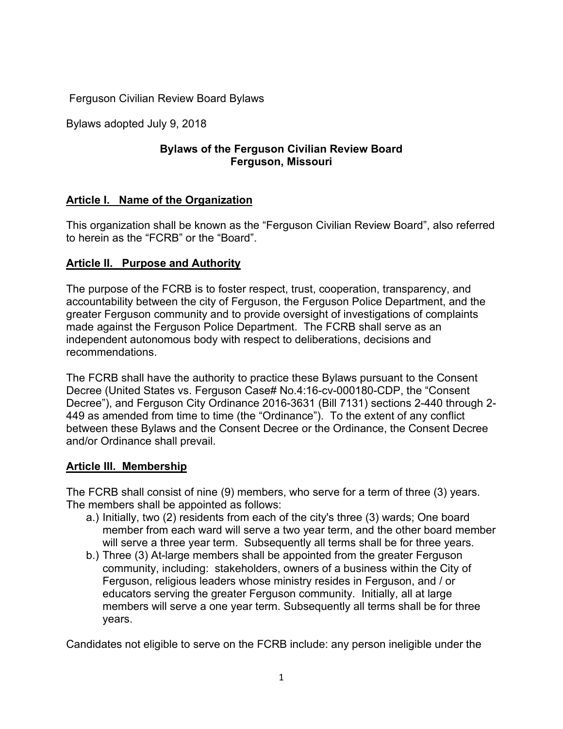Ferguson Civilian Review Board Bylaws

Bylaws adopted July 9, 2018

## **Bylaws of the Ferguson Civilian Review Board Ferguson, Missouri**

# **Article I. Name of the Organization**

This organization shall be known as the "Ferguson Civilian Review Board", also referred to herein as the "FCRB" or the "Board".

## **Article II. Purpose and Authority**

The purpose of the FCRB is to foster respect, trust, cooperation, transparency, and accountability between the city of Ferguson, the Ferguson Police Department, and the greater Ferguson community and to provide oversight of investigations of complaints made against the Ferguson Police Department. The FCRB shall serve as an independent autonomous body with respect to deliberations, decisions and recommendations.

The FCRB shall have the authority to practice these Bylaws pursuant to the Consent Decree (United States vs. Ferguson Case# No.4:16-cv-000180-CDP, the "Consent Decree"), and Ferguson City Ordinance 2016-3631 (Bill 7131) sections 2-440 through 2- 449 as amended from time to time (the "Ordinance"). To the extent of any conflict between these Bylaws and the Consent Decree or the Ordinance, the Consent Decree and/or Ordinance shall prevail.

### **Article III. Membership**

The FCRB shall consist of nine (9) members, who serve for a term of three (3) years. The members shall be appointed as follows:

- a.) Initially, two (2) residents from each of the city's three (3) wards; One board member from each ward will serve a two year term, and the other board member will serve a three year term. Subsequently all terms shall be for three years.
- b.) Three (3) At-large members shall be appointed from the greater Ferguson community, including: stakeholders, owners of a business within the City of Ferguson, religious leaders whose ministry resides in Ferguson, and / or educators serving the greater Ferguson community. Initially, all at large members will serve a one year term. Subsequently all terms shall be for three years.

Candidates not eligible to serve on the FCRB include: any person ineligible under the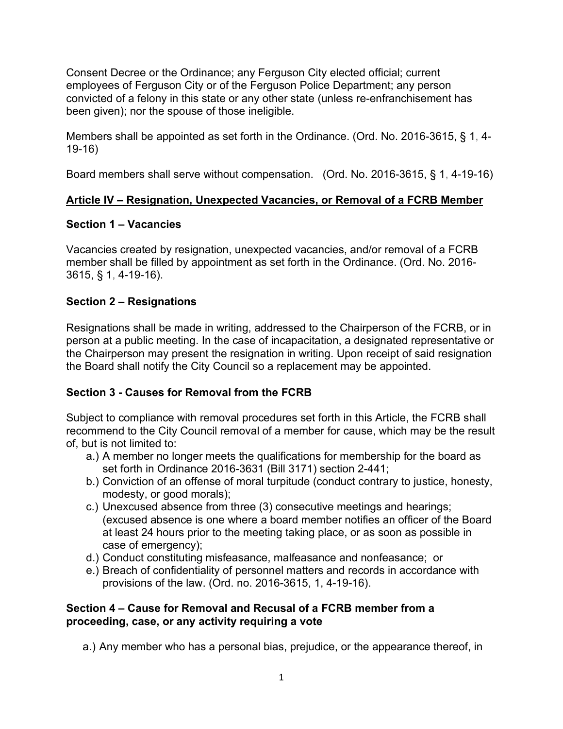Consent Decree or the Ordinance; any Ferguson City elected official; current employees of Ferguson City or of the Ferguson Police Department; any person convicted of a felony in this state or any other state (unless re-enfranchisement has been given); nor the spouse of those ineligible.

Members shall be appointed as set forth in the Ordinance. (Ord. No. 2016-3615, § 1, 4- 19-16)

Board members shall serve without compensation. (Ord. No. 2016-3615, § 1, 4-19-16)

## **Article IV – Resignation, Unexpected Vacancies, or Removal of a FCRB Member**

## **Section 1 – Vacancies**

Vacancies created by resignation, unexpected vacancies, and/or removal of a FCRB member shall be filled by appointment as set forth in the Ordinance. (Ord. No. 2016- 3615, § 1, 4-19-16).

# **Section 2 – Resignations**

Resignations shall be made in writing, addressed to the Chairperson of the FCRB, or in person at a public meeting. In the case of incapacitation, a designated representative or the Chairperson may present the resignation in writing. Upon receipt of said resignation the Board shall notify the City Council so a replacement may be appointed.

# **Section 3 - Causes for Removal from the FCRB**

Subject to compliance with removal procedures set forth in this Article, the FCRB shall recommend to the City Council removal of a member for cause, which may be the result of, but is not limited to:

- a.) A member no longer meets the qualifications for membership for the board as set forth in Ordinance 2016-3631 (Bill 3171) section 2-441;
- b.) Conviction of an offense of moral turpitude (conduct contrary to justice, honesty, modesty, or good morals);
- c.) Unexcused absence from three (3) consecutive meetings and hearings; (excused absence is one where a board member notifies an officer of the Board at least 24 hours prior to the meeting taking place, or as soon as possible in case of emergency);
- d.) Conduct constituting misfeasance, malfeasance and nonfeasance; or
- e.) Breach of confidentiality of personnel matters and records in accordance with provisions of the law. (Ord. no. 2016-3615, 1, 4-19-16).

#### **Section 4 – Cause for Removal and Recusal of a FCRB member from a proceeding, case, or any activity requiring a vote**

a.) Any member who has a personal bias, prejudice, or the appearance thereof, in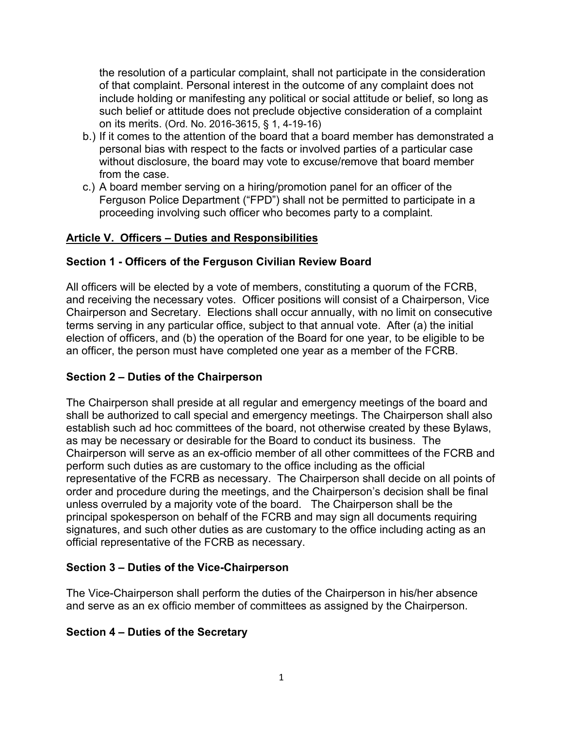the resolution of a particular complaint, shall not participate in the consideration of that complaint. Personal interest in the outcome of any complaint does not include holding or manifesting any political or social attitude or belief, so long as such belief or attitude does not preclude objective consideration of a complaint on its merits. (Ord. No. 2016-3615, § 1, 4-19-16)

- b.) If it comes to the attention of the board that a board member has demonstrated a personal bias with respect to the facts or involved parties of a particular case without disclosure, the board may vote to excuse/remove that board member from the case.
- c.) A board member serving on a hiring/promotion panel for an officer of the Ferguson Police Department ("FPD") shall not be permitted to participate in a proceeding involving such officer who becomes party to a complaint.

## **Article V. Officers – Duties and Responsibilities**

### **Section 1 - Officers of the Ferguson Civilian Review Board**

All officers will be elected by a vote of members, constituting a quorum of the FCRB, and receiving the necessary votes. Officer positions will consist of a Chairperson, Vice Chairperson and Secretary. Elections shall occur annually, with no limit on consecutive terms serving in any particular office, subject to that annual vote. After (a) the initial election of officers, and (b) the operation of the Board for one year, to be eligible to be an officer, the person must have completed one year as a member of the FCRB.

### **Section 2 – Duties of the Chairperson**

The Chairperson shall preside at all regular and emergency meetings of the board and shall be authorized to call special and emergency meetings. The Chairperson shall also establish such ad hoc committees of the board, not otherwise created by these Bylaws, as may be necessary or desirable for the Board to conduct its business. The Chairperson will serve as an ex-officio member of all other committees of the FCRB and perform such duties as are customary to the office including as the official representative of the FCRB as necessary. The Chairperson shall decide on all points of order and procedure during the meetings, and the Chairperson's decision shall be final unless overruled by a majority vote of the board. The Chairperson shall be the principal spokesperson on behalf of the FCRB and may sign all documents requiring signatures, and such other duties as are customary to the office including acting as an official representative of the FCRB as necessary.

#### **Section 3 – Duties of the Vice-Chairperson**

The Vice-Chairperson shall perform the duties of the Chairperson in his/her absence and serve as an ex officio member of committees as assigned by the Chairperson.

#### **Section 4 – Duties of the Secretary**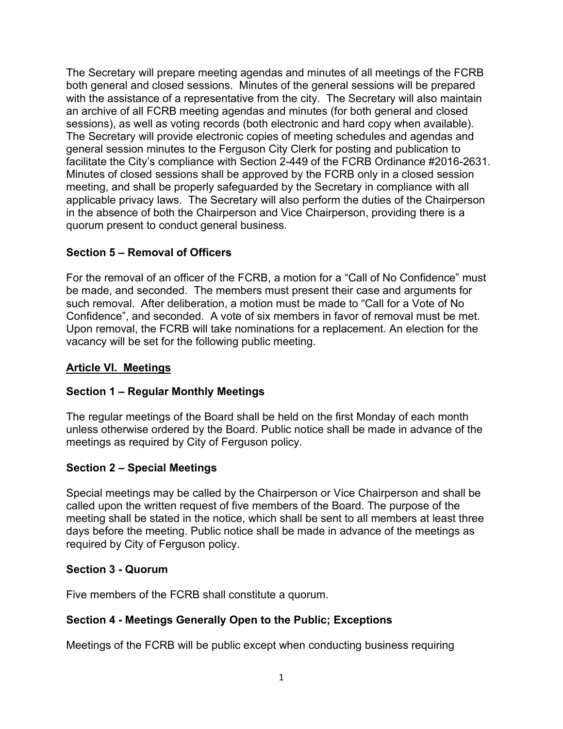The Secretary will prepare meeting agendas and minutes of all meetings of the FCRB both general and closed sessions. Minutes of the general sessions will be prepared with the assistance of a representative from the city. The Secretary will also maintain an archive of all FCRB meeting agendas and minutes (for both general and closed sessions), as well as voting records (both electronic and hard copy when available). The Secretary will provide electronic copies of meeting schedules and agendas and general session minutes to the Ferguson City Clerk for posting and publication to facilitate the City's compliance with Section 2-449 of the FCRB Ordinance #2016-2631. Minutes of closed sessions shall be approved by the FCRB only in a closed session meeting, and shall be properly safeguarded by the Secretary in compliance with all applicable privacy laws. The Secretary will also perform the duties of the Chairperson in the absence of both the Chairperson and Vice Chairperson, providing there is a quorum present to conduct general business.

## **Section 5 – Removal of Officers**

For the removal of an officer of the FCRB, a motion for a "Call of No Confidence" must be made, and seconded. The members must present their case and arguments for such removal. After deliberation, a motion must be made to "Call for a Vote of No Confidence", and seconded. A vote of six members in favor of removal must be met. Upon removal, the FCRB will take nominations for a replacement. An election for the vacancy will be set for the following public meeting.

### **Article VI. Meetings**

### **Section 1 – Regular Monthly Meetings**

The regular meetings of the Board shall be held on the first Monday of each month unless otherwise ordered by the Board. Public notice shall be made in advance of the meetings as required by City of Ferguson policy.

### **Section 2 – Special Meetings**

Special meetings may be called by the Chairperson or Vice Chairperson and shall be called upon the written request of five members of the Board. The purpose of the meeting shall be stated in the notice, which shall be sent to all members at least three days before the meeting. Public notice shall be made in advance of the meetings as required by City of Ferguson policy.

#### **Section 3 - Quorum**

Five members of the FCRB shall constitute a quorum.

### **Section 4 - Meetings Generally Open to the Public; Exceptions**

Meetings of the FCRB will be public except when conducting business requiring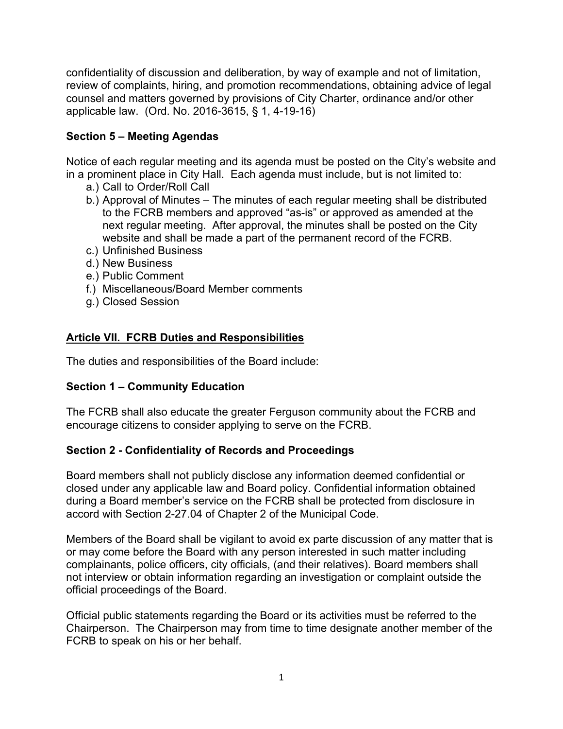confidentiality of discussion and deliberation, by way of example and not of limitation, review of complaints, hiring, and promotion recommendations, obtaining advice of legal counsel and matters governed by provisions of City Charter, ordinance and/or other applicable law. (Ord. No. 2016-3615, § 1, 4-19-16)

## **Section 5 – Meeting Agendas**

Notice of each regular meeting and its agenda must be posted on the City's website and in a prominent place in City Hall. Each agenda must include, but is not limited to:

- a.) Call to Order/Roll Call
- b.) Approval of Minutes The minutes of each regular meeting shall be distributed to the FCRB members and approved "as-is" or approved as amended at the next regular meeting. After approval, the minutes shall be posted on the City website and shall be made a part of the permanent record of the FCRB.
- c.) Unfinished Business
- d.) New Business
- e.) Public Comment
- f.) Miscellaneous/Board Member comments
- g.) Closed Session

### **Article VII. FCRB Duties and Responsibilities**

The duties and responsibilities of the Board include:

### **Section 1 – Community Education**

The FCRB shall also educate the greater Ferguson community about the FCRB and encourage citizens to consider applying to serve on the FCRB.

### **Section 2 - Confidentiality of Records and Proceedings**

Board members shall not publicly disclose any information deemed confidential or closed under any applicable law and Board policy. Confidential information obtained during a Board member's service on the FCRB shall be protected from disclosure in accord with Section 2-27.04 of Chapter 2 of the Municipal Code.

Members of the Board shall be vigilant to avoid ex parte discussion of any matter that is or may come before the Board with any person interested in such matter including complainants, police officers, city officials, (and their relatives). Board members shall not interview or obtain information regarding an investigation or complaint outside the official proceedings of the Board.

Official public statements regarding the Board or its activities must be referred to the Chairperson. The Chairperson may from time to time designate another member of the FCRB to speak on his or her behalf.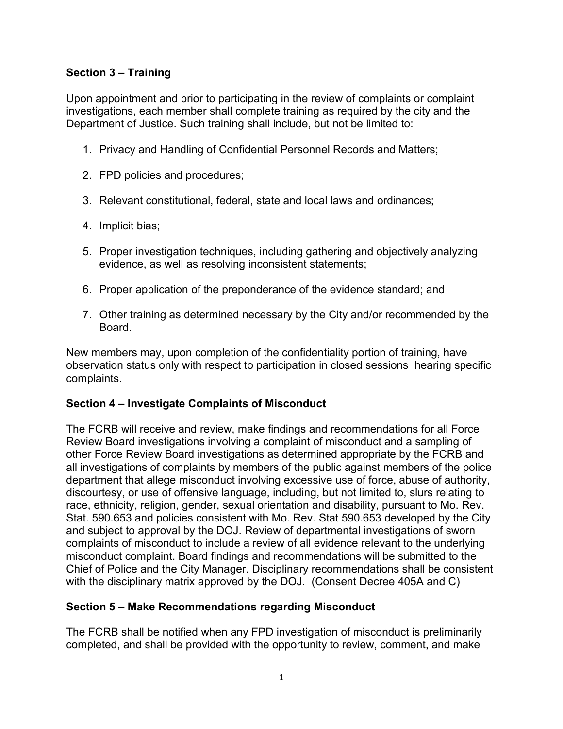## **Section 3 – Training**

Upon appointment and prior to participating in the review of complaints or complaint investigations, each member shall complete training as required by the city and the Department of Justice. Such training shall include, but not be limited to:

- 1. Privacy and Handling of Confidential Personnel Records and Matters;
- 2. FPD policies and procedures;
- 3. Relevant constitutional, federal, state and local laws and ordinances;
- 4. Implicit bias;
- 5. Proper investigation techniques, including gathering and objectively analyzing evidence, as well as resolving inconsistent statements;
- 6. Proper application of the preponderance of the evidence standard; and
- 7. Other training as determined necessary by the City and/or recommended by the Board.

New members may, upon completion of the confidentiality portion of training, have observation status only with respect to participation in closed sessions hearing specific complaints.

#### **Section 4 – Investigate Complaints of Misconduct**

The FCRB will receive and review, make findings and recommendations for all Force Review Board investigations involving a complaint of misconduct and a sampling of other Force Review Board investigations as determined appropriate by the FCRB and all investigations of complaints by members of the public against members of the police department that allege misconduct involving excessive use of force, abuse of authority, discourtesy, or use of offensive language, including, but not limited to, slurs relating to race, ethnicity, religion, gender, sexual orientation and disability, pursuant to Mo. Rev. Stat. 590.653 and policies consistent with Mo. Rev. Stat 590.653 developed by the City and subject to approval by the DOJ. Review of departmental investigations of sworn complaints of misconduct to include a review of all evidence relevant to the underlying misconduct complaint. Board findings and recommendations will be submitted to the Chief of Police and the City Manager. Disciplinary recommendations shall be consistent with the disciplinary matrix approved by the DOJ. (Consent Decree 405A and C)

### **Section 5 – Make Recommendations regarding Misconduct**

The FCRB shall be notified when any FPD investigation of misconduct is preliminarily completed, and shall be provided with the opportunity to review, comment, and make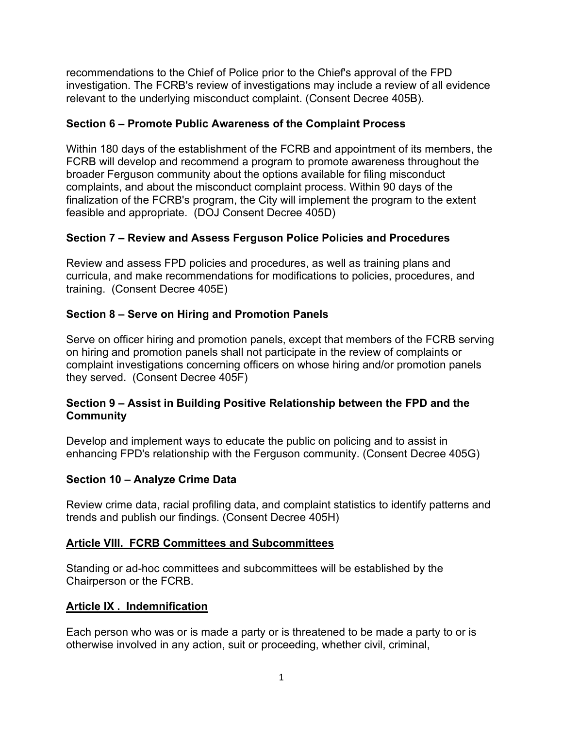recommendations to the Chief of Police prior to the Chief's approval of the FPD investigation. The FCRB's review of investigations may include a review of all evidence relevant to the underlying misconduct complaint. (Consent Decree 405B).

## **Section 6 – Promote Public Awareness of the Complaint Process**

Within 180 days of the establishment of the FCRB and appointment of its members, the FCRB will develop and recommend a program to promote awareness throughout the broader Ferguson community about the options available for filing misconduct complaints, and about the misconduct complaint process. Within 90 days of the finalization of the FCRB's program, the City will implement the program to the extent feasible and appropriate. (DOJ Consent Decree 405D)

# **Section 7 – Review and Assess Ferguson Police Policies and Procedures**

Review and assess FPD policies and procedures, as well as training plans and curricula, and make recommendations for modifications to policies, procedures, and training. (Consent Decree 405E)

# **Section 8 – Serve on Hiring and Promotion Panels**

Serve on officer hiring and promotion panels, except that members of the FCRB serving on hiring and promotion panels shall not participate in the review of complaints or complaint investigations concerning officers on whose hiring and/or promotion panels they served. (Consent Decree 405F)

### **Section 9 – Assist in Building Positive Relationship between the FPD and the Community**

Develop and implement ways to educate the public on policing and to assist in enhancing FPD's relationship with the Ferguson community. (Consent Decree 405G)

### **Section 10 – Analyze Crime Data**

Review crime data, racial profiling data, and complaint statistics to identify patterns and trends and publish our findings. (Consent Decree 405H)

### **Article VIII. FCRB Committees and Subcommittees**

Standing or ad-hoc committees and subcommittees will be established by the Chairperson or the FCRB.

### **Article IX . Indemnification**

Each person who was or is made a party or is threatened to be made a party to or is otherwise involved in any action, suit or proceeding, whether civil, criminal,